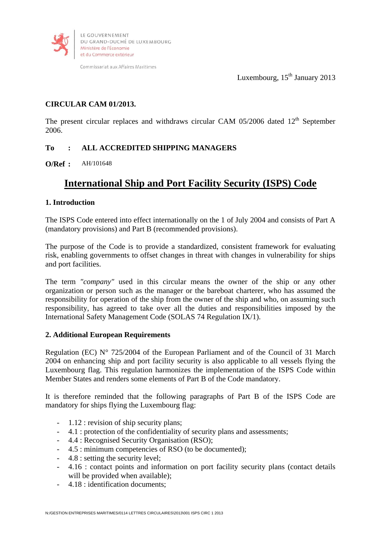

Commissariat aux Affaires Maritimes

Luxembourg,  $15<sup>th</sup>$  January 2013

# **CIRCULAR CAM 01/2013.**

The present circular replaces and withdraws circular CAM  $05/2006$  dated  $12<sup>th</sup>$  September 2006.

# **To : ALL ACCREDITED SHIPPING MANAGERS**

**O/Ref :** AH/101648

# **International Ship and Port Facility Security (ISPS) Code**

## **1. Introduction**

The ISPS Code entered into effect internationally on the 1 of July 2004 and consists of Part A (mandatory provisions) and Part B (recommended provisions).

The purpose of the Code is to provide a standardized, consistent framework for evaluating risk, enabling governments to offset changes in threat with changes in vulnerability for ships and port facilities.

The term *"company"* used in this circular means the owner of the ship or any other organization or person such as the manager or the bareboat charterer, who has assumed the responsibility for operation of the ship from the owner of the ship and who, on assuming such responsibility, has agreed to take over all the duties and responsibilities imposed by the International Safety Management Code (SOLAS 74 Regulation IX/1).

### **2. Additional European Requirements**

Regulation (EC) N° 725/2004 of the European Parliament and of the Council of 31 March 2004 on enhancing ship and port facility security is also applicable to all vessels flying the Luxembourg flag. This regulation harmonizes the implementation of the ISPS Code within Member States and renders some elements of Part B of the Code mandatory.

It is therefore reminded that the following paragraphs of Part B of the ISPS Code are mandatory for ships flying the Luxembourg flag:

- 1.12 : revision of ship security plans;
- 4.1 : protection of the confidentiality of security plans and assessments;
- 4.4 : Recognised Security Organisation (RSO);
- 4.5 : minimum competencies of RSO (to be documented);
- 4.8 : setting the security level;
- 4.16 : contact points and information on port facility security plans (contact details will be provided when available);
- 4.18 : identification documents;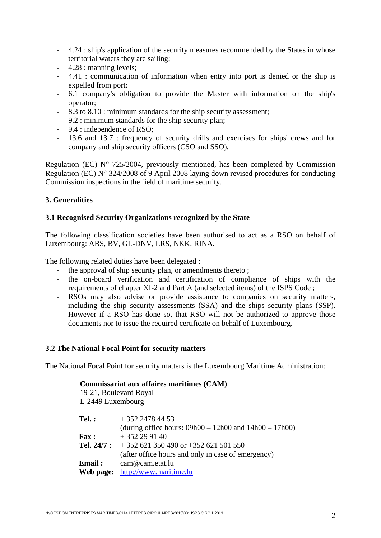- 4.24 : ship's application of the security measures recommended by the States in whose territorial waters they are sailing;
- 4.28 : manning levels;
- 4.41 : communication of information when entry into port is denied or the ship is expelled from port:
- 6.1 company's obligation to provide the Master with information on the ship's operator;
- 8.3 to 8.10 : minimum standards for the ship security assessment;
- 9.2 : minimum standards for the ship security plan;
- 9.4 : independence of RSO;
- 13.6 and 13.7 : frequency of security drills and exercises for ships' crews and for company and ship security officers (CSO and SSO).

Regulation (EC) N° 725/2004, previously mentioned, has been completed by Commission Regulation (EC) N° 324/2008 of 9 April 2008 laying down revised procedures for conducting Commission inspections in the field of maritime security.

## **3. Generalities**

## **3.1 Recognised Security Organizations recognized by the State**

The following classification societies have been authorised to act as a RSO on behalf of Luxembourg: ABS, BV, GL-DNV, LRS, NKK, RINA.

The following related duties have been delegated :

- the approval of ship security plan, or amendments thereto;
- the on-board verification and certification of compliance of ships with the requirements of chapter XI-2 and Part A (and selected items) of the ISPS Code ;
- RSOs may also advise or provide assistance to companies on security matters, including the ship security assessments (SSA) and the ships security plans (SSP). However if a RSO has done so, that RSO will not be authorized to approve those documents nor to issue the required certificate on behalf of Luxembourg.

### **3.2 The National Focal Point for security matters**

The National Focal Point for security matters is the Luxembourg Maritime Administration:

| Commissariat aux affaires maritimes (CAM)<br>19-21, Boulevard Royal |                                                                               |
|---------------------------------------------------------------------|-------------------------------------------------------------------------------|
| L-2449 Luxembourg                                                   |                                                                               |
| $Tel.$ :                                                            | $+35224784453$<br>(during office hours: $09h00 - 12h00$ and $14h00 - 17h00$ ) |
| <b>Fax</b> :                                                        | $+352299140$                                                                  |
|                                                                     | <b>Tel. 24/7:</b> $+352621350490$ or $+352621501550$                          |
|                                                                     | (after office hours and only in case of emergency)                            |
| Email:                                                              | cam@cam.etat.lu                                                               |
| Web page:                                                           | http://www.maritime.lu                                                        |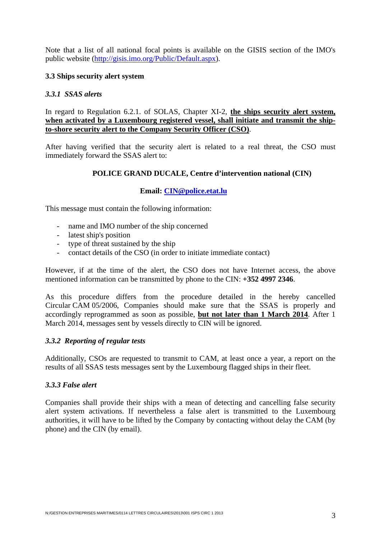Note that a list of all national focal points is available on the GISIS section of the IMO's public website (http://gisis.imo.org/Public/Default.aspx).

## **3.3 Ships security alert system**

### *3.3.1 SSAS alerts*

In regard to Regulation 6.2.1. of SOLAS, Chapter XI-2, **the ships security alert system, when activated by a Luxembourg registered vessel, shall initiate and transmit the shipto-shore security alert to the Company Security Officer (CSO)**.

After having verified that the security alert is related to a real threat, the CSO must immediately forward the SSAS alert to:

## **POLICE GRAND DUCALE, Centre d'intervention national (CIN)**

### **Email: CIN@police.etat.lu**

This message must contain the following information:

- name and IMO number of the ship concerned
- latest ship's position
- type of threat sustained by the ship
- contact details of the CSO (in order to initiate immediate contact)

However, if at the time of the alert, the CSO does not have Internet access, the above mentioned information can be transmitted by phone to the CIN: **+352 4997 2346**.

As this procedure differs from the procedure detailed in the hereby cancelled Circular CAM 05/2006, Companies should make sure that the SSAS is properly and accordingly reprogrammed as soon as possible, **but not later than 1 March 2014**. After 1 March 2014, messages sent by vessels directly to CIN will be ignored.

### *3.3.2 Reporting of regular tests*

Additionally, CSOs are requested to transmit to CAM, at least once a year, a report on the results of all SSAS tests messages sent by the Luxembourg flagged ships in their fleet.

### *3.3.3 False alert*

Companies shall provide their ships with a mean of detecting and cancelling false security alert system activations. If nevertheless a false alert is transmitted to the Luxembourg authorities, it will have to be lifted by the Company by contacting without delay the CAM (by phone) and the CIN (by email).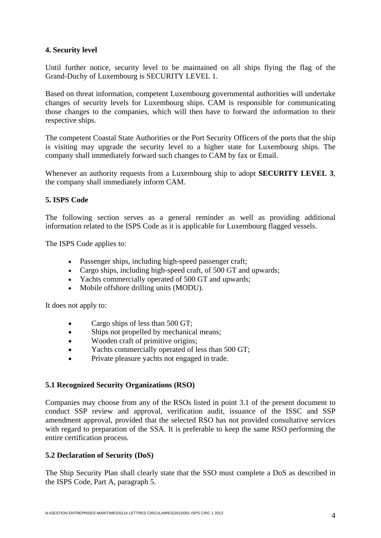# **4. Security level**

Until further notice, security level to be maintained on all ships flying the flag of the Grand-Duchy of Luxembourg is SECURITY LEVEL 1.

Based on threat information, competent Luxembourg governmental authorities will undertake changes of security levels for Luxembourg ships. CAM is responsible for communicating those changes to the companies, which will then have to forward the information to their respective ships.

The competent Coastal State Authorities or the Port Security Officers of the ports that the ship is visiting may upgrade the security level to a higher state for Luxembourg ships. The company shall immediately forward such changes to CAM by fax or Email.

Whenever an authority requests from a Luxembourg ship to adopt **SECURITY LEVEL 3**, the company shall immediately inform CAM.

## **5. ISPS Code**

The following section serves as a general reminder as well as providing additional information related to the ISPS Code as it is applicable for Luxembourg flagged vessels.

The ISPS Code applies to:

- Passenger ships, including high-speed passenger craft;
- Cargo ships, including high-speed craft, of 500 GT and upwards;
- Yachts commercially operated of 500 GT and upwards;
- Mobile offshore drilling units (MODU).

It does not apply to:

- Cargo ships of less than 500 GT;
- Ships not propelled by mechanical means;
- Wooden craft of primitive origins;
- Yachts commercially operated of less than 500 GT;
- Private pleasure yachts not engaged in trade.

### **5.1 Recognized Security Organizations (RSO)**

Companies may choose from any of the RSOs listed in point 3.1 of the present document to conduct SSP review and approval, verification audit, issuance of the ISSC and SSP amendment approval, provided that the selected RSO has not provided consultative services with regard to preparation of the SSA. It is preferable to keep the same RSO performing the entire certification process.

# **5.2 Declaration of Security (DoS)**

The Ship Security Plan shall clearly state that the SSO must complete a DoS as described in the ISPS Code, Part A, paragraph 5.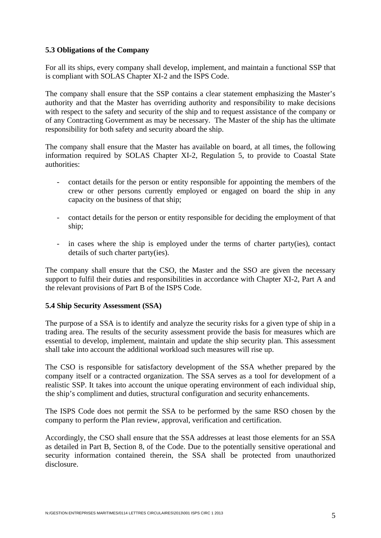## **5.3 Obligations of the Company**

For all its ships, every company shall develop, implement, and maintain a functional SSP that is compliant with SOLAS Chapter XI-2 and the ISPS Code.

The company shall ensure that the SSP contains a clear statement emphasizing the Master's authority and that the Master has overriding authority and responsibility to make decisions with respect to the safety and security of the ship and to request assistance of the company or of any Contracting Government as may be necessary. The Master of the ship has the ultimate responsibility for both safety and security aboard the ship.

The company shall ensure that the Master has available on board, at all times, the following information required by SOLAS Chapter XI-2, Regulation 5, to provide to Coastal State authorities:

- contact details for the person or entity responsible for appointing the members of the crew or other persons currently employed or engaged on board the ship in any capacity on the business of that ship;
- contact details for the person or entity responsible for deciding the employment of that ship;
- in cases where the ship is employed under the terms of charter party(ies), contact details of such charter party(ies).

The company shall ensure that the CSO, the Master and the SSO are given the necessary support to fulfil their duties and responsibilities in accordance with Chapter XI-2, Part A and the relevant provisions of Part B of the ISPS Code.

# **5.4 Ship Security Assessment (SSA)**

The purpose of a SSA is to identify and analyze the security risks for a given type of ship in a trading area. The results of the security assessment provide the basis for measures which are essential to develop, implement, maintain and update the ship security plan. This assessment shall take into account the additional workload such measures will rise up.

The CSO is responsible for satisfactory development of the SSA whether prepared by the company itself or a contracted organization. The SSA serves as a tool for development of a realistic SSP. It takes into account the unique operating environment of each individual ship, the ship's compliment and duties, structural configuration and security enhancements.

The ISPS Code does not permit the SSA to be performed by the same RSO chosen by the company to perform the Plan review, approval, verification and certification.

Accordingly, the CSO shall ensure that the SSA addresses at least those elements for an SSA as detailed in Part B, Section 8, of the Code. Due to the potentially sensitive operational and security information contained therein, the SSA shall be protected from unauthorized disclosure.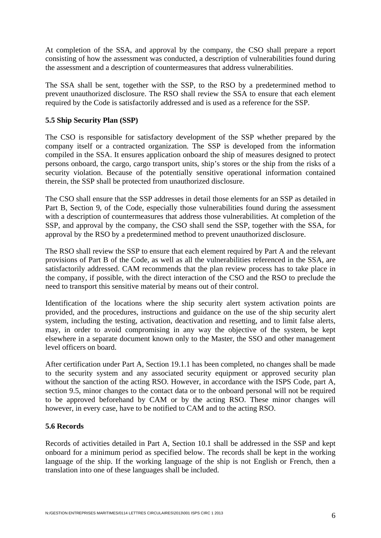At completion of the SSA, and approval by the company, the CSO shall prepare a report consisting of how the assessment was conducted, a description of vulnerabilities found during the assessment and a description of countermeasures that address vulnerabilities.

The SSA shall be sent, together with the SSP, to the RSO by a predetermined method to prevent unauthorized disclosure. The RSO shall review the SSA to ensure that each element required by the Code is satisfactorily addressed and is used as a reference for the SSP.

# **5.5 Ship Security Plan (SSP)**

The CSO is responsible for satisfactory development of the SSP whether prepared by the company itself or a contracted organization. The SSP is developed from the information compiled in the SSA. It ensures application onboard the ship of measures designed to protect persons onboard, the cargo, cargo transport units, ship's stores or the ship from the risks of a security violation. Because of the potentially sensitive operational information contained therein, the SSP shall be protected from unauthorized disclosure.

The CSO shall ensure that the SSP addresses in detail those elements for an SSP as detailed in Part B, Section 9, of the Code, especially those vulnerabilities found during the assessment with a description of countermeasures that address those vulnerabilities. At completion of the SSP, and approval by the company, the CSO shall send the SSP, together with the SSA, for approval by the RSO by a predetermined method to prevent unauthorized disclosure.

The RSO shall review the SSP to ensure that each element required by Part A and the relevant provisions of Part B of the Code, as well as all the vulnerabilities referenced in the SSA, are satisfactorily addressed. CAM recommends that the plan review process has to take place in the company, if possible, with the direct interaction of the CSO and the RSO to preclude the need to transport this sensitive material by means out of their control.

Identification of the locations where the ship security alert system activation points are provided, and the procedures, instructions and guidance on the use of the ship security alert system, including the testing, activation, deactivation and resetting, and to limit false alerts, may, in order to avoid compromising in any way the objective of the system, be kept elsewhere in a separate document known only to the Master, the SSO and other management level officers on board.

After certification under Part A, Section 19.1.1 has been completed, no changes shall be made to the security system and any associated security equipment or approved security plan without the sanction of the acting RSO. However, in accordance with the ISPS Code, part A, section 9.5, minor changes to the contact data or to the onboard personal will not be required to be approved beforehand by CAM or by the acting RSO. These minor changes will however, in every case, have to be notified to CAM and to the acting RSO.

### **5.6 Records**

Records of activities detailed in Part A, Section 10.1 shall be addressed in the SSP and kept onboard for a minimum period as specified below. The records shall be kept in the working language of the ship. If the working language of the ship is not English or French, then a translation into one of these languages shall be included.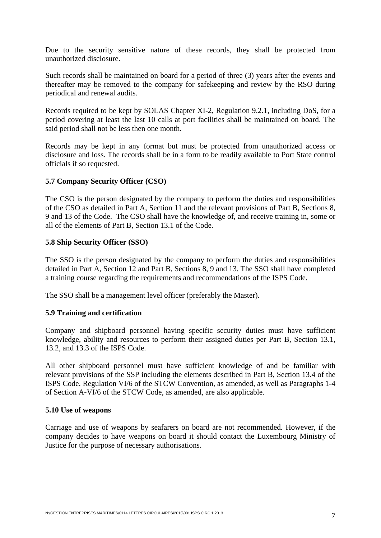Due to the security sensitive nature of these records, they shall be protected from unauthorized disclosure.

Such records shall be maintained on board for a period of three (3) years after the events and thereafter may be removed to the company for safekeeping and review by the RSO during periodical and renewal audits.

Records required to be kept by SOLAS Chapter XI-2, Regulation 9.2.1, including DoS, for a period covering at least the last 10 calls at port facilities shall be maintained on board. The said period shall not be less then one month.

Records may be kept in any format but must be protected from unauthorized access or disclosure and loss. The records shall be in a form to be readily available to Port State control officials if so requested.

## **5.7 Company Security Officer (CSO)**

The CSO is the person designated by the company to perform the duties and responsibilities of the CSO as detailed in Part A, Section 11 and the relevant provisions of Part B, Sections 8, 9 and 13 of the Code. The CSO shall have the knowledge of, and receive training in, some or all of the elements of Part B, Section 13.1 of the Code.

## **5.8 Ship Security Officer (SSO)**

The SSO is the person designated by the company to perform the duties and responsibilities detailed in Part A, Section 12 and Part B, Sections 8, 9 and 13. The SSO shall have completed a training course regarding the requirements and recommendations of the ISPS Code.

The SSO shall be a management level officer (preferably the Master).

### **5.9 Training and certification**

Company and shipboard personnel having specific security duties must have sufficient knowledge, ability and resources to perform their assigned duties per Part B, Section 13.1, 13.2, and 13.3 of the ISPS Code.

All other shipboard personnel must have sufficient knowledge of and be familiar with relevant provisions of the SSP including the elements described in Part B, Section 13.4 of the ISPS Code. Regulation VI/6 of the STCW Convention, as amended, as well as Paragraphs 1-4 of Section A-VI/6 of the STCW Code, as amended, are also applicable.

### **5.10 Use of weapons**

Carriage and use of weapons by seafarers on board are not recommended. However, if the company decides to have weapons on board it should contact the Luxembourg Ministry of Justice for the purpose of necessary authorisations.